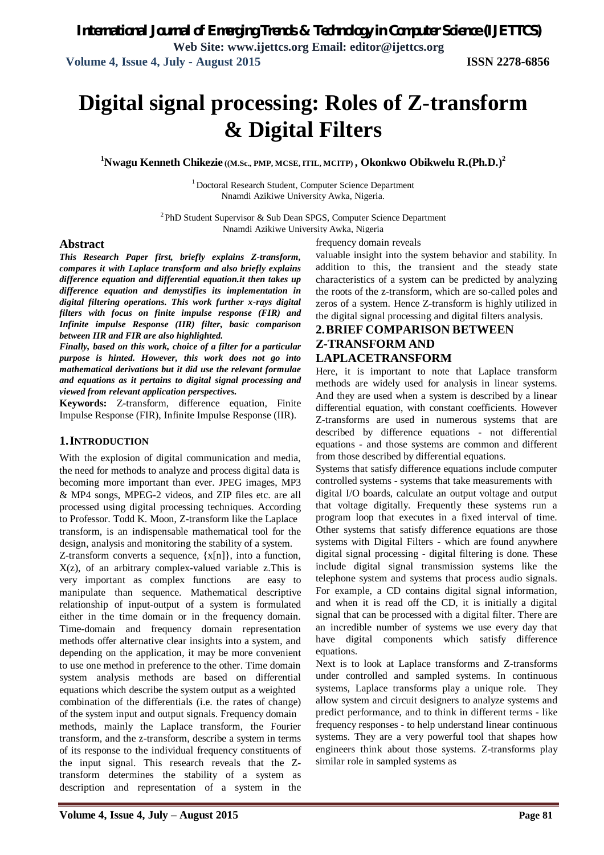# **Digital signal processing: Roles of Z-transform & Digital Filters**

**<sup>1</sup>Nwagu Kenneth Chikezie ((M.Sc., PMP, MCSE, ITIL, MCITP) , Okonkwo Obikwelu R.(Ph.D.)<sup>2</sup>**

<sup>1</sup> Doctoral Research Student, Computer Science Department Nnamdi Azikiwe University Awka, Nigeria.

 $2$ PhD Student Supervisor & Sub Dean SPGS, Computer Science Department Nnamdi Azikiwe University Awka, Nigeria

#### **Abstract**

*This Research Paper first, briefly explains Z-transform, compares it with Laplace transform and also briefly explains difference equation and differential equation.it then takes up difference equation and demystifies its implementation in digital filtering operations. This work further x-rays digital filters with focus on finite impulse response (FIR) and Infinite impulse Response (IIR) filter, basic comparison between IIR and FIR are also highlighted.*

*Finally, based on this work, choice of a filter for a particular purpose is hinted. However, this work does not go into mathematical derivations but it did use the relevant formulae and equations as it pertains to digital signal processing and viewed from relevant application perspectives.*

**Keywords:** Z-transform, difference equation, Finite Impulse Response (FIR), Infinite Impulse Response (IIR).

#### **1.INTRODUCTION**

With the explosion of digital communication and media, the need for methods to analyze and process digital data is becoming more important than ever. JPEG images, MP3 & MP4 songs, MPEG-2 videos, and ZIP files etc. are all processed using digital processing techniques. According to Professor. Todd K. Moon, Z-transform like the Laplace transform, is an indispensable mathematical tool for the design, analysis and monitoring the stability of a system.

Z-transform converts a sequence, {x[n]}, into a function,  $X(z)$ , of an arbitrary complex-valued variable z. This is very important as complex functions are easy to manipulate than sequence. Mathematical descriptive relationship of input-output of a system is formulated either in the time domain or in the frequency domain. Time-domain and frequency domain representation methods offer alternative clear insights into a system, and depending on the application, it may be more convenient to use one method in preference to the other. Time domain system analysis methods are based on differential equations which describe the system output as a weighted combination of the differentials (i.e. the rates of change) of the system input and output signals. Frequency domain methods, mainly the Laplace transform, the Fourier transform, and the z-transform, describe a system in terms of its response to the individual frequency constituents of the input signal. This research reveals that the Ztransform determines the stability of a system as description and representation of a system in the frequency domain reveals valuable insight into the system behavior and stability. In addition to this, the transient and the steady state characteristics of a system can be predicted by analyzing the roots of the z-transform, which are so-called poles and zeros of a system. Hence Z-transform is highly utilized in the digital signal processing and digital filters analysis.

# **2.BRIEF COMPARISON BETWEEN Z-TRANSFORM AND LAPLACETRANSFORM**

Here, it is important to note that Laplace transform methods are widely used for analysis in linear systems. And they are used when a system is described by a linear differential equation, with constant coefficients. However Z-transforms are used in numerous systems that are described by difference equations - not differential equations - and those systems are common and different from those described by differential equations.

Systems that satisfy difference equations include computer controlled systems - systems that take measurements with digital I/O boards, calculate an output voltage and output

that voltage digitally. Frequently these systems run a program loop that executes in a fixed interval of time. Other systems that satisfy difference equations are those systems with Digital Filters - which are found anywhere digital signal processing - digital filtering is done. These include digital signal transmission systems like the telephone system and systems that process audio signals. For example, a CD contains digital signal information, and when it is read off the CD, it is initially a digital signal that can be processed with a digital filter. There are an incredible number of systems we use every day that have digital components which satisfy difference equations.

Next is to look at Laplace transforms and Z-transforms under controlled and sampled systems. In continuous systems, Laplace transforms play a unique role. They allow system and circuit designers to analyze systems and predict performance, and to think in different terms - like frequency responses - to help understand linear continuous systems. They are a very powerful tool that shapes how engineers think about those systems. Z-transforms play similar role in sampled systems as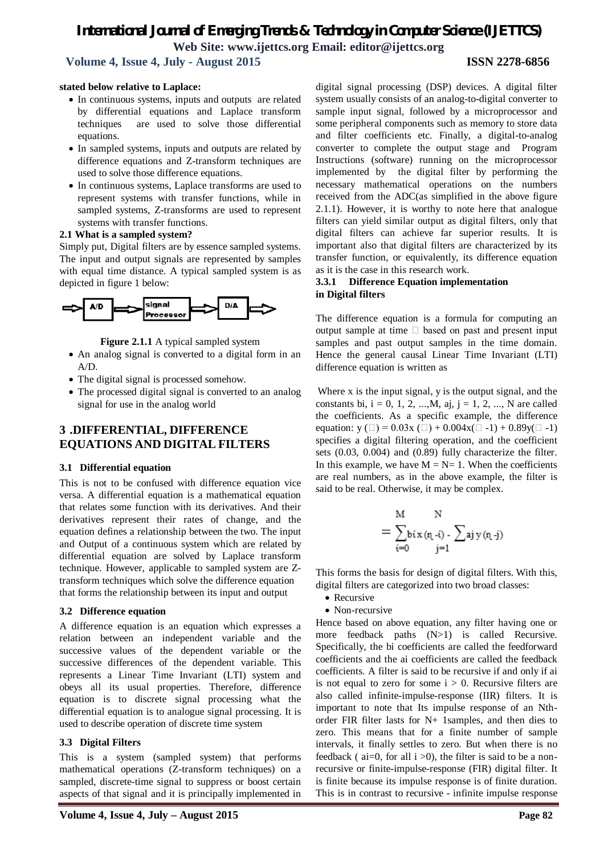# *International Journal of Emerging Trends & Technology in Computer Science (IJETTCS)* **Web Site: www.ijettcs.org Email: editor@ijettcs.org**

 **Volume 4, Issue 4, July - August 2015 ISSN 2278-6856**

### **stated below relative to Laplace:**

- In continuous systems, inputs and outputs are related by differential equations and Laplace transform techniques are used to solve those differential equations.
- In sampled systems, inputs and outputs are related by difference equations and Z-transform techniques are used to solve those difference equations.
- In continuous systems, Laplace transforms are used to represent systems with transfer functions, while in sampled systems, Z-transforms are used to represent systems with transfer functions.

#### **2.1 What is a sampled system?**

Simply put, Digital filters are by essence sampled systems. The input and output signals are represented by samples with equal time distance. A typical sampled system is as depicted in figure 1 below:



**Figure 2.1.1** A typical sampled system

- An analog signal is converted to a digital form in an  $A/D$
- The digital signal is processed somehow.
- The processed digital signal is converted to an analog signal for use in the analog world

# **3 .DIFFERENTIAL, DIFFERENCE EQUATIONS AND DIGITAL FILTERS**

### **3.1 Differential equation**

This is not to be confused with difference equation vice versa. A differential equation is a mathematical equation that relates some function with its derivatives. And their derivatives represent their rates of change, and the equation defines a relationship between the two. The input and Output of a continuous system which are related by differential equation are solved by Laplace transform technique. However, applicable to sampled system are Ztransform techniques which solve the difference equation that forms the relationship between its input and output

### **3.2 Difference equation**

A difference equation is an equation which expresses a relation between an independent variable and the successive values of the dependent variable or the successive differences of the dependent variable. This represents a Linear Time Invariant (LTI) system and obeys all its usual properties. Therefore, difference equation is to discrete signal processing what the differential equation is to analogue signal processing. It is used to describe operation of discrete time system

### **3.3 Digital Filters**

This is a system (sampled system) that performs mathematical operations (Z-transform techniques) on a sampled, discrete-time signal to suppress or boost certain aspects of that signal and it is principally implemented in

digital signal processing (DSP) devices. A digital filter system usually consists of an analog-to-digital converter to sample input signal, followed by a microprocessor and some peripheral components such as memory to store data and filter coefficients etc. Finally, a digital-to-analog converter to complete the output stage and Program Instructions (software) running on the microprocessor implemented by the digital filter by performing the necessary mathematical operations on the numbers received from the ADC(as simplified in the above figure 2.1.1). However, it is worthy to note here that analogue filters can yield similar output as digital filters, only that digital filters can achieve far superior results. It is important also that digital filters are characterized by its transfer function, or equivalently, its difference equation as it is the case in this research work.

#### **3.3.1 Difference Equation implementation in Digital filters**

The difference equation is a formula for computing an output sample at time  $\Box$  based on past and present input samples and past output samples in the time domain. Hence the general causal Linear Time Invariant (LTI) difference equation is written as

Where x is the input signal, y is the output signal, and the constants bi,  $i = 0, 1, 2, ..., M$ , aj,  $j = 1, 2, ..., N$  are called the coefficients. As a specific example, the difference equation:  $y (\square) = 0.03x (\square) + 0.004x(\square -1) + 0.89y(\square -1)$ specifies a digital filtering operation, and the coefficient sets (0.03, 0.004) and (0.89) fully characterize the filter. In this example, we have  $M = N = 1$ . When the coefficients are real numbers, as in the above example, the filter is said to be real. Otherwise, it may be complex.

$$
= \sum_{i=0}^{M} \!\!\!\!\! b^i x \, (r_l \!\cdot\!\! i) \! - \! \sum_{j=1}^{N} \! a_j \, y \, (r_l \!\cdot\!\! j)
$$

This forms the basis for design of digital filters. With this, digital filters are categorized into two broad classes:

- Recursive
- Non-recursive

Hence based on above equation, any filter having one or more feedback paths  $(N>1)$  is called Recursive. Specifically, the bi coefficients are called the feedforward coefficients and the ai coefficients are called the feedback coefficients. A filter is said to be recursive if and only if ai is not equal to zero for some  $i > 0$ . Recursive filters are also called infinite-impulse-response (IIR) filters. It is important to note that Its impulse response of an Nthorder FIR filter lasts for N+ 1samples, and then dies to zero. This means that for a finite number of sample intervals, it finally settles to zero. But when there is no feedback ( $ai=0$ , for all  $i>0$ ), the filter is said to be a nonrecursive or finite-impulse-response (FIR) digital filter. It is finite because its impulse response is of finite duration. This is in contrast to recursive - infinite impulse response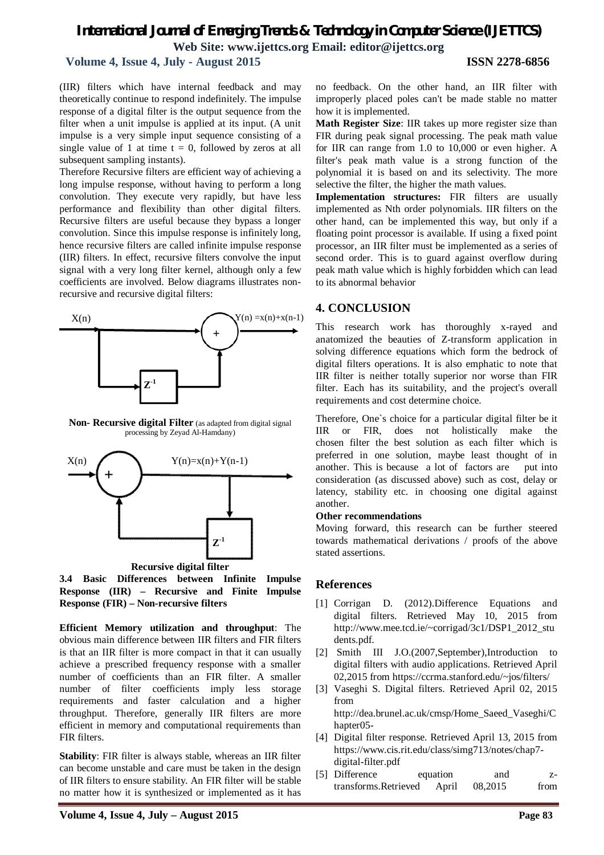# *International Journal of Emerging Trends & Technology in Computer Science (IJETTCS)* **Web Site: www.ijettcs.org Email: editor@ijettcs.org**

# **Volume 4, Issue 4, July - August 2015 ISSN 2278-6856**

(IIR) filters which have internal feedback and may theoretically continue to respond indefinitely. The impulse response of a digital filter is the output sequence from the filter when a unit impulse is applied at its input. (A unit impulse is a very simple input sequence consisting of a single value of 1 at time  $t = 0$ , followed by zeros at all subsequent sampling instants).

Therefore Recursive filters are efficient way of achieving a long impulse response, without having to perform a long convolution. They execute very rapidly, but have less performance and flexibility than other digital filters. Recursive filters are useful because they bypass a longer convolution. Since this impulse response is infinitely long, hence recursive filters are called infinite impulse response (IIR) filters. In effect, recursive filters convolve the input signal with a very long filter kernel, although only a few coefficients are involved. Below diagrams illustrates nonrecursive and recursive digital filters:



**Non- Recursive digital Filter** (as adapted from digital signal processing by Zeyad Al-Hamdany)



**3.4 Basic Differences between Infinite Impulse Response (IIR) – Recursive and Finite Impulse Response (FIR) – Non-recursive filters**

**Efficient Memory utilization and throughput**: The obvious main difference between IIR filters and FIR filters is that an IIR filter is more compact in that it can usually achieve a prescribed frequency response with a smaller number of coefficients than an FIR filter. A smaller number of filter coefficients imply less storage requirements and faster calculation and a higher throughput. Therefore, generally IIR filters are more efficient in memory and computational requirements than FIR filters.

**Stability**: FIR filter is always stable, whereas an IIR filter can become unstable and care must be taken in the design of IIR filters to ensure stability. An FIR filter will be stable no matter how it is synthesized or implemented as it has

no feedback. On the other hand, an IIR filter with improperly placed poles can't be made stable no matter how it is implemented.

**Math Register Size**: IIR takes up more register size than FIR during peak signal processing. The peak math value for IIR can range from 1.0 to 10,000 or even higher. A filter's peak math value is a strong function of the polynomial it is based on and its selectivity. The more selective the filter, the higher the math values.

**Implementation structures:** FIR filters are usually implemented as Nth order polynomials. IIR filters on the other hand, can be implemented this way, but only if a floating point processor is available. If using a fixed point processor, an IIR filter must be implemented as a series of second order. This is to guard against overflow during peak math value which is highly forbidden which can lead to its abnormal behavior

# **4. CONCLUSION**

This research work has thoroughly x-rayed and anatomized the beauties of Z-transform application in solving difference equations which form the bedrock of digital filters operations. It is also emphatic to note that IIR filter is neither totally superior nor worse than FIR filter. Each has its suitability, and the project's overall requirements and cost determine choice.

Therefore, One`s choice for a particular digital filter be it IIR or FIR, does not holistically make the chosen filter the best solution as each filter which is preferred in one solution, maybe least thought of in another. This is because a lot of factors are put into consideration (as discussed above) such as cost, delay or latency, stability etc. in choosing one digital against another.

### **Other recommendations**

Moving forward, this research can be further steered towards mathematical derivations / proofs of the above stated assertions.

# **References**

- [1] Corrigan D. (2012).Difference Equations and digital filters. Retrieved May 10, 2015 from http://www.mee.tcd.ie/~corrigad/3c1/DSP1\_2012\_stu dents.pdf.
- [2] Smith III J.O.(2007,September),Introduction to digital filters with audio applications. Retrieved April 02,2015 from https://ccrma.stanford.edu/~jos/filters/
- [3] Vaseghi S. Digital filters. Retrieved April 02, 2015 from

http://dea.brunel.ac.uk/cmsp/Home\_Saeed\_Vaseghi/C hapter05-

- [4] Digital filter response. Retrieved April 13, 2015 from https://www.cis.rit.edu/class/simg713/notes/chap7 digital-filter.pdf
- [5] Difference equation and ztransforms.Retrieved April 08,2015 from